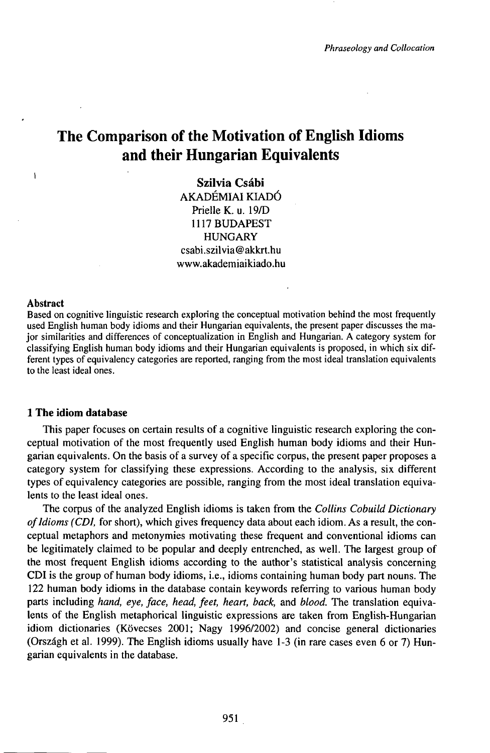# **The Comparison of the Motivation of English Idioms and their Hungarian Equivalents**

**Szilvia Csábi** AKADÉMIAI KIADÓ Prielle K. u. 19/D 1117BUDAPEST HUNGARY csabi.szilvia@akkrt.hu www.akademiaikiado.hu

#### Abstract

 $\mathbf{I}$ 

Based on cognitive linguistic research exploring the conceptual motivation behind the most frequently used English human body idioms and their Hungarian equivalents, the present paper discusses the major similarities and differences of conceptualization in English and Hungarian. A category system for classifying English human body idioms and their Hungarian equivalents is proposed, in which six different types of equivalency categories are reported, ranging from the most ideal translation equivalents to the least ideal ones.

## **1 The idiom database**

This paper focuses on certain results of a cognitive linguistic research exploring the conceptual motivation of the most frequently used English human body idioms and their Hungarian equivalents. On the basis of a survey of a specific corpus, the present paper proposes a category system for classifying these expressions. According to the analysis, six different types of equivalency categories are possible, ranging from the most ideal translation equivalents to the least ideal ones.

The corpus of the analyzed English idioms is taken from the *Collins Cobuild Dictionary of Idioms (CDI, for short), which gives frequency data about each idiom. As a result, the con*ceptual metaphors and metonymies motivating these frequent and conventional idioms can be legitimately claimed to be popular and deeply entrenched, as well. The largest group of the most frequent English idioms according to the author's statistical analysis concerning CDI is the group of human body idioms, i.e., idioms containing human body part nouns. The 122 human body idioms in the database contain keywords referring to various human body parts including *hand, eye, face, head, feet, heart, back,* and *blood.* The translation equivalents of the English metaphorical linguistic expressions are taken from English-Hungarian idiom dictionaries (Kövecses 2001; Nagy 1996/2002) and concise general dictionaries (Országh et al. 1999). The English idioms usually have 1-3 (in rare cases even 6 or 7) Hungarian equivalents in the database.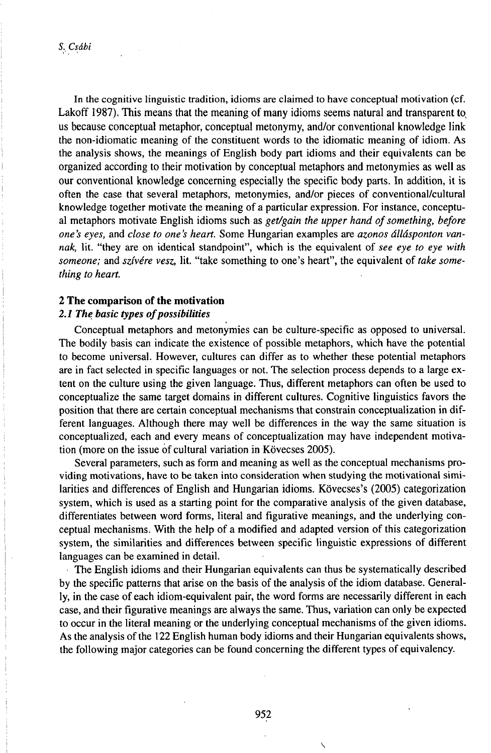In the cognitive linguistic tradition, idioms are claimed to have conceptual motivation (cf. Lakoff 1987). This means that the meaning of many idioms seems natural and transparent to us because conceptual metaphor, conceptual metonymy, and/or conventional knowledge link the non-idiomatic meaning of the constituent words to the idiomatic meaning of idiom. As the analysis shows, the meanings of English body part idioms and their equivalents can be organized according to their motivation by conceptual metaphors and metonymies as well as our conventional knowledge concerning especially the specific body parts. In addition, it is often the case that several metaphors, metonymies, and/or pieces of conventional/cultural knowledge together motivate the meaning of a particular expression. For instance, conceptual metaphors motivate English idioms such as *get/gain the upper hand ofsomething, before one 's eyes,* and *close to one 's heart.* Some Hungarian examples are *azonos állásponton vannak,* lit. "they are on identical standpoint", which is the equivalent of *see eye to eye with someone;* and *szívére vesz,* lit. "take something to one's heart", the equivalent of *take something to heart.*

# *2* **The comparison** of **the motivation**

# *2.1 The basic types ofpossibilities*

Conceptual metaphors and metonymies can be culture-specific as opposed to universal. The bodily basis can indicate the existence of possible metaphors, which have the potential to become universal. However, cultures can differ as to whether these potential metaphors are in fact selected in specific languages or not. The selection process depends to a large extent on the culture using the given language. Thus, different metaphors can often be used to conceptualize the same target domains in different cultures. Cognitive linguistics favors the position that there are certain conceptual mechanisms that constrain conceptualization in different languages. Although there may well be differences in the way the same situation is conceptualized, each and every means of conceptualization may have independent motivation (more on the issue óf cultural variation in Kövecses 2005).

Several parameters, such as form and meaning as well as the conceptual mechanisms providing motivations, have to be taken into consideration when studying the motivational similarities and differences of English and Hungarian idioms. Kövecses's (2005) categorization system, which is used as a starting point for the comparative analysis of the given database, differentiates between word forms, literal and figurative meanings, and the underlying conceptual mechanisms. With the help of a modified and adapted version of this categorization system, the similarities and differences between specific linguistic expressions of different languages can be examined in detail.

The English idioms and their Hungarian equivalents can thus be systematically described by the specific patterns that arise on the basis of the analysis of the idiom database. Generally, in the case of each idiom-equivalent pair, the word forms are necessarily different in each case, and their figurative meanings are always the same. Thus, variation can only be expected to occur in the literal meaning or the underlying conceptual mechanisms of the given idioms. As the analysis of the 122 English human body idioms and their Hungarian equivalents shows, the following major categories can be found concerning the different types of equivalency.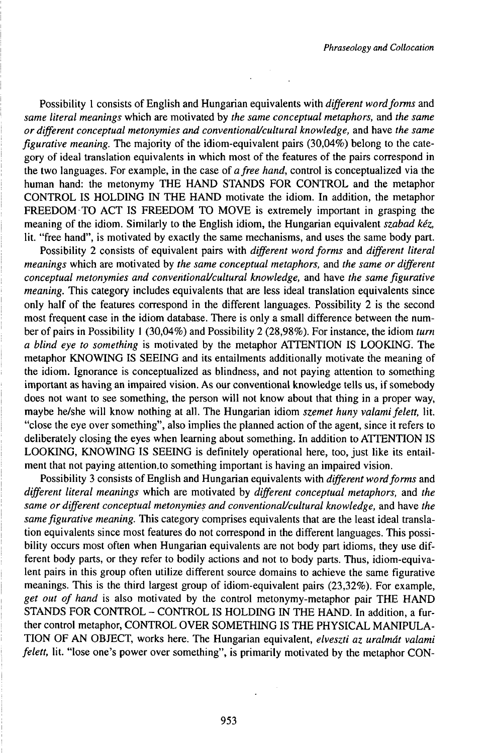Possibility 1 consists of English and Hungarian equivalents with *different word forms* and *same literal meanings* which are motivated by *the same conceptual metaphors,* and *the same or different conceptual metonymies and conventionaUcultural knowledge,* and have *the same figurative meaning.* The majority of the idiom-equivalent pairs (30,04%) belong to the category of ideal translation equivalents in which most of the features of the pairs correspond in the two languages. For example, in the case of *afree hand,* control is conceptualized via the human hand: the metonymy THE HAND STANDS FOR CONTROL and the metaphor CONTROL IS HOLDING IN THE HAND motivate the idiom. In addition, the metaphor FREEDOM TO ACT IS FREEDOM TO MOVE is extremely important in grasping the meaning of the idiom. Similarly to the English idiom, the Hungarian equivalent *szabad kéz,* lit. "free hand", is motivated by exactly the same mechanisms, and uses the same body part.

Possibility 2 consists of equivalent pairs with *different word forms* and *different literal meanings* which are motivated by *the same conceptual metaphors,* and *the same or different conceptual metonymies and conventionaUcultural knowledge,* and have *the same figurative meaning.* This category includes equivalents that are less ideal translation equivalents since only half of the features correspond in the different languages. Possibility 2 is the second most frequent case in the idiom database. There is only a small difference between the number of pairs in Possibility 1 (30,04%) and Possibility 2 (28,98%). For instance, the idiom *turn a blind eye to something* is motivated by the metaphor ATTENTION IS LOOKING. The metaphor KNOWING IS SEEING and its entailments additionally motivate the meaning of the idiom. Ignorance is conceptualized as blindness, and not paying attention to something important as having an impaired vision. As our conventional knowledge tells us, if somebody does not want to see something, the person will not know about that thing in a proper way, maybe he/she will know nothing at all. The Hungarian idiom *szemet huny valamifelett,* lit. "close the eye over something", also implies the planned action of the agent, since it refers to deliberately closing the eyes when learning about something. In addition to ATTENTION IS LOOKING, KNOWING IS SEEING is definitely operational here, too, just like its entailment that not paying attention.to something important is having an impaired vision.

Possibility 3 consists of English and Hungarian equivalents with *different word forms* and *different literal meanings* which are motivated by *different conceptual metaphors,* and *the same or different conceptual metonymies and conventionaUcultural knowledge,* and have *the samefigurative meaning.* This category comprises equivalents that are the least ideal translation equivalents since most features do not correspond in the different languages. This possibility occurs most often when Hungarian equivalents are not body part idioms, they use different body parts, or they refer to bodily actions and not to body parts. Thus, idiom-equivalent pairs in this group often utilize different source domains to achieve the same figurative meanings. This is the third largest group of idiom-equivalent pairs (23,32%). For example, *get out of hand* is also motivated by the control metonymy-metaphor pair THE HAND STANDS FOR CONTROL - CONTROL IS HOLDING IN THE HAND. In addition, a further control metaphor, CONTROL OVER SOMETHING IS THE PHYSICAL MANIPULA-TION OF AN OBJECT, works here. The Hungarian equivalent, *elveszti az uralmát valami felett,* lit. "lose one's power over something", is primarily motivated by the metaphor CON-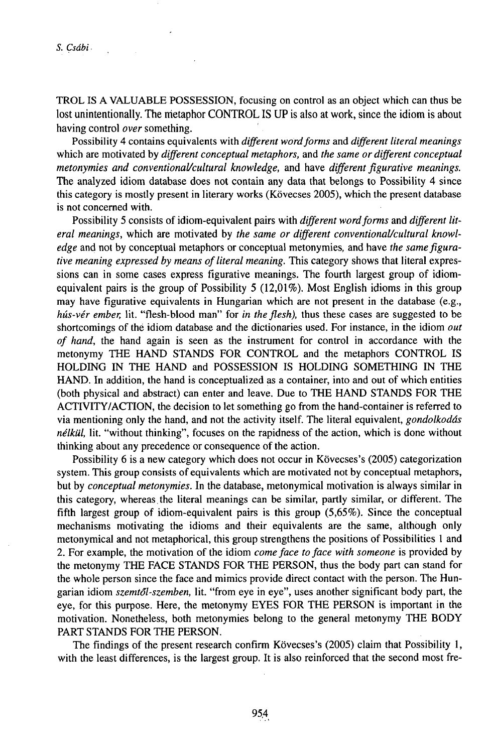TROL IS A VALUABLE POSSESSION, focusing on control as an object which can thus be lost unintentionally. The metaphor CONTROL IS UP is also at work, since the idiom is about having control *over* something.

Possibility 4 contains equivalents with *different wordforms* and *different literal meanings* which are motivated by *different conceptual metaphors,* and *the same or different conceptual metonymies and conventionaUcultural knowledge,* and have *differentfigurative meanings.* The analyzed idiom database does not contain any data that belongs to Possibility 4 since this category is mostly present in literary works (Kövecses 2005), which the present database is not concerned with.

Possibility 5 consists of idiom-equivalent pairs with *different word forms* and *different literal meanings,* which are motivated by *the same or different conventionaUcultural knowledge* and not by conceptual metaphors or conceptual metonymies, and have *the samefigurative meaning expressed by means of literal meaning. This category shows that literal expres*sions can in some cases express figurative meanings. The fourth largest group of idiomequivalent pairs is the group of Possibility 5 (12,01%). Most English idioms in this group may have figurative equivalents in Hungarian which are not present in the database (e.g., *hús-vér ember,* lit. "flesh-blood man" for *in the flesh),* thus these cases are suggested to be shortcomings of thë idiom database and the dictionaries used. For instance, in the idiom *out of hand,* the hand again is seen as the instrument for control in accordance with the metonymy THE HAND STANDS FOR CONTROL and the metaphors CONTROL IS HOLDING IN THE HAND and POSSESSION IS HOLDING SOMETHING IN THE HAND. In addition, the hand is conceptualized as a container, into and out of which entities (both physical and abstract) can enter and leave. Due to THE HAND STANDS FOR THE ACTIVrTY/ACTION, the decision to let something go from the hand-container is referred to via mentioning only the hand, and not the activity itself. The literal equivalent, *gondolkodás nélkill,* lit. "without thinking", focuses on the rapidness of the action, which is done without thinking about any precedence or consequence of the action.

Possibility 6 is a new category which does not occur in Kövecses's (2005) categorization system. This group consists of equivalents which are motivated not by conceptual metaphors, but by *conceptual metonymies.* In the database, metonymical motivation is always similar in this category, whereas the literal meanings can be similar, partly similar, or different. The fifth largest group of idiom-equivalent pairs is this group (5,65%). Since the conceptual mechanisms motivating the idioms and their equivalents are the same, although only metonymical and not metaphorical, this group strengthens the positions of Possibilities <sup>1</sup> and 2. For example, the motivation of the idiom *comeface toface with someone* is provided by the metonymy THE FACE STANDS FOR THE PERSON, thus the body part can stand for the whole person since the face and mimics provide direct contact with the person. The Hungarian idiom *szemt6l-szemben,* lit. "from eye in eye", uses another significant body part, the eye, for this purpose. Here, the metonymy EYES FOR THE PERSON is important in the motivation. Nonetheless, both metonymies belong to the general metonymy THE BODY PART STANDS FOR THE PERSON.

The findings of the present research confirm Kövecses's (2005) claim that Possibility 1, with the least differences, is the largest group. It is also reinforced that the second most fre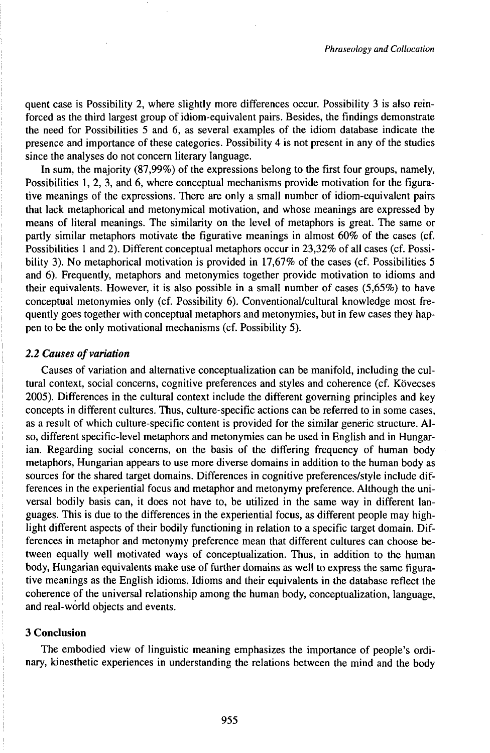quent case is Possibility 2, where slightly more differences occur. Possibility 3 is also reinforced as the third largest group of idiom-equivalent pairs. Besides, the findings demonstrate the need for Possibilities 5 and 6, as several examples of the idiom database indicate the presence and importance of these categories. Possibility 4 is not present in any of the studies since the analyses do not concern literary language.

In sum, the majority (87,99%) of the expressions belong to the first four groups, namely, Possibilities 1, 2, 3, and 6, where conceptual mechanisms provide motivation for the figurative meanings of the expressions. There are only a small number of idiom-equivalent pairs that lack metaphorical and metonymical motivation, and whose meanings are expressed by means of literal meanings. The similarity on the level of metaphors is great. The same or partly similar metaphors motivate the figurative meanings in almost 60% of the cases (cf. Possibilities <sup>1</sup> and 2). Different conceptual metaphors occur in 23,32% of all cases (cf. Possibility 3). No metaphorical motivation is provided in 17,67% of the cases (cf. Possibilities 5 and 6). Frequently, metaphors and metonymies together provide motivation to idioms and their equivalents. However, it is also possible in a small number of cases (5,65%) to have conceptual metonymies only (cf. Possibility 6). Conventional/cultural knowledge most frequently goes together with conceptual metaphors and metonymies, but in few cases they happen to be the only motivational mechanisms (cf. Possibility 5).

## *2.2 Causes ofvariation*

Causes of variation and alternative conceptualization can be manifold, including the cultural context, social concerns, cognitive preferences and styles and coherence (cf. Kövecses 2005). Differences in the cultural context include the different governing principles and key concepts in different cultures. Thus, culture-specific actions can be referred to in some cases, as a result of which culture-specific content is provided for the similar generic structure. Also, different specific-level metaphors and metonymies can be used in English and in Hungarian. Regarding social concerns, on the basis of the differing frequency of human body metaphors, Hungarian appears to use more diverse domains in addition to the human body as sources for the shared target domains. Differences in cognitive preferences/style include differences in the experiential focus and metaphor and metonymy preference. Although the universal bodily basis can, it does not have to, be utilized in the same way in different languages. This is due to the differences in the experiential focus, as different people may highlight different aspects of their bodily functioning in relation to a specific target domain. Differences in metaphor and metonymy preference mean that different cultures can choose between equally well motivated ways of conceptualization. Thus, in addition to the human body, Hungarian equivalents make use of further domains as well to express the same figurative meanings as the English idioms. Idioms and their equivalents in the database reflect the coherence of the universal relationship among the human body, conceptualization, language, and real-world objects and events.

## **3 Conclusion**

The embodied view of linguistic meaning emphasizes the importance of people's ordinary, kinesthetic experiences in understanding the relations between the mind and the body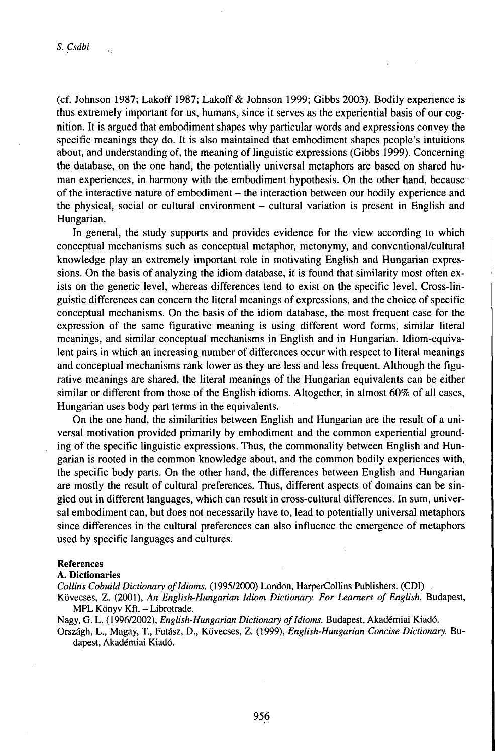ä,

(cf. Johnson 1987; Lakoff 1987; Lakoff & Johnson 1999; Gibbs 2003). Bodily experience is thus extremely important for us, humans, since it serves as the experiential basis of our cognition. It is argued that embodiment shapes why particular words and expressions convey the specific meanings they do. It is also maintained that embodiment shapes people's intuitions about, and understanding of, the meaning of linguistic expressions (Gibbs 1999). Concerning the database, on the one hand, the potentially universal metaphors are based on shared human experiences, in harmony with the embodiment hypothesis. On the other hand, because of the interactive nature of embodiment – the interaction between our bodily experience and the physical, social or cultural environment - cultural variation is present in English and Hungarian.

In general, the study supports and provides evidence for the view according to which conceptual mechanisms such as conceptual metaphor, metonymy, and conventional/cultural knowledge play an extremely important role in motivating English and Hungarian expressions. On the basis of analyzing the idiom database, it is found that similarity most often exists on the generic level, whereas differences tend to exist on the specific level. Cross-linguistic differences can concern the literal meanings of expressions, and the choice of specific conceptual mechanisms. On the basis of the idiom database, the most frequent case for the expression of the same figurative meaning is using different word forms, similar literal meanings, and similar conceptual mechanisms in English and in Hungarian. Idiom-equivalent pairs in which an increasing number of differences occur with respect to literal meanings and conceptual mechanisms rank lower as they are less and less frequent. Although the figurative meanings are shared, the literal meanings of the Hungarian equivalents can be either similar or different from those of the English idioms. Altogether, in almost 60% of all cases, Hungarian uses body part terms in the equivalents.

On the one hand, the similarities between English and Hungarian are the result of a universal motivation provided primarily by embodiment and the common experiential grounding of the specific linguistic expressions. Thus, the commonality between English and Hungarian is rooted in the common knowledge about, and the common bodily experiences with, the specific body parts. On the other hand, the differences between English and Hungarian are mostly the result of cultural preferences. Thus, different aspects of domains can be singled out in different languages, which can result in cross-cultural differences. In sum, universal embodiment can, but does not necessarily have to, lead to potentially universal metaphors since differences in the cultural preferences can also influence the emergence of metaphors used by specific languages and cultures.

## References

## A. Dictionaries

*Collins CobuildDictionary ofIdioms.* (1995/2000) London, HarperCollins Publishers. (CDI) .

Kövecses, Z. (2001), *An English-Hungarian Idiom Dictionary. For Learners ofEnglish.* Budapest, MPL Könyv Kft. - Librotrade.

Nagy, G. L. (1996/2002), *English-Hungarian Dictionary ofIdioms.* Budapest, Akadémiai Kiadó.

Országh, L., Magay, T., Futász, D., Kövecses, Z. (1999), *English-Hungarian Concise Dictionary.* Budapest, Akadémiai Kiadó.